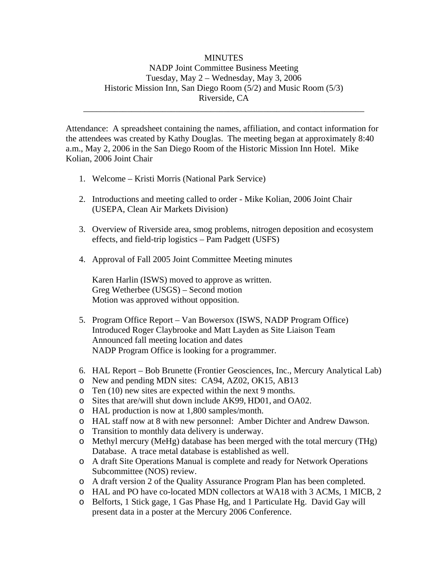## MINUTES NADP Joint Committee Business Meeting Tuesday, May 2 – Wednesday, May 3, 2006 Historic Mission Inn, San Diego Room (5/2) and Music Room (5/3) Riverside, CA

\_\_\_\_\_\_\_\_\_\_\_\_\_\_\_\_\_\_\_\_\_\_\_\_\_\_\_\_\_\_\_\_\_\_\_\_\_\_\_\_\_\_\_\_\_\_\_\_\_\_\_\_\_\_\_\_\_\_\_\_\_\_\_\_

Attendance: A spreadsheet containing the names, affiliation, and contact information for the attendees was created by Kathy Douglas. The meeting began at approximately 8:40 a.m., May 2, 2006 in the San Diego Room of the Historic Mission Inn Hotel. Mike Kolian, 2006 Joint Chair

- 1. Welcome Kristi Morris (National Park Service)
- 2. Introductions and meeting called to order Mike Kolian, 2006 Joint Chair (USEPA, Clean Air Markets Division)
- 3. Overview of Riverside area, smog problems, nitrogen deposition and ecosystem effects, and field-trip logistics – Pam Padgett (USFS)
- 4. Approval of Fall 2005 Joint Committee Meeting minutes

Karen Harlin (ISWS) moved to approve as written. Greg Wetherbee (USGS) – Second motion Motion was approved without opposition.

- 5. Program Office Report Van Bowersox (ISWS, NADP Program Office) Introduced Roger Claybrooke and Matt Layden as Site Liaison Team Announced fall meeting location and dates NADP Program Office is looking for a programmer.
- 6. HAL Report Bob Brunette (Frontier Geosciences, Inc., Mercury Analytical Lab)
- o New and pending MDN sites: CA94, AZ02, OK15, AB13
- o Ten (10) new sites are expected within the next 9 months.
- o Sites that are/will shut down include AK99, HD01, and OA02.
- o HAL production is now at 1,800 samples/month.
- o HAL staff now at 8 with new personnel: Amber Dichter and Andrew Dawson.
- o Transition to monthly data delivery is underway.
- o Methyl mercury (MeHg) database has been merged with the total mercury (THg) Database. A trace metal database is established as well.
- o A draft Site Operations Manual is complete and ready for Network Operations Subcommittee (NOS) review.
- o A draft version 2 of the Quality Assurance Program Plan has been completed.
- o HAL and PO have co-located MDN collectors at WA18 with 3 ACMs, 1 MICB, 2
- o Belforts, 1 Stick gage, 1 Gas Phase Hg, and 1 Particulate Hg. David Gay will present data in a poster at the Mercury 2006 Conference.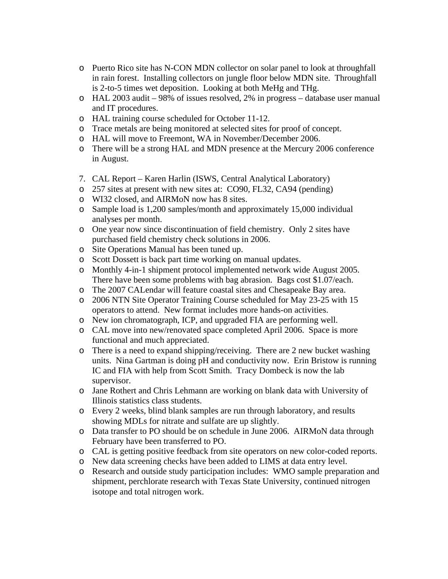- o Puerto Rico site has N-CON MDN collector on solar panel to look at throughfall in rain forest. Installing collectors on jungle floor below MDN site. Throughfall is 2-to-5 times wet deposition. Looking at both MeHg and THg.
- o HAL 2003 audit 98% of issues resolved, 2% in progress database user manual and IT procedures.
- o HAL training course scheduled for October 11-12.
- o Trace metals are being monitored at selected sites for proof of concept.
- o HAL will move to Freemont, WA in November/December 2006.
- o There will be a strong HAL and MDN presence at the Mercury 2006 conference in August.
- 7. CAL Report Karen Harlin (ISWS, Central Analytical Laboratory)
- o 257 sites at present with new sites at: CO90, FL32, CA94 (pending)
- o WI32 closed, and AIRMoN now has 8 sites.
- o Sample load is 1,200 samples/month and approximately 15,000 individual analyses per month.
- o One year now since discontinuation of field chemistry. Only 2 sites have purchased field chemistry check solutions in 2006.
- o Site Operations Manual has been tuned up.
- o Scott Dossett is back part time working on manual updates.
- o Monthly 4-in-1 shipment protocol implemented network wide August 2005. There have been some problems with bag abrasion. Bags cost \$1.07/each.
- o The 2007 CALendar will feature coastal sites and Chesapeake Bay area.
- o 2006 NTN Site Operator Training Course scheduled for May 23-25 with 15 operators to attend. New format includes more hands-on activities.
- o New ion chromatograph, ICP, and upgraded FIA are performing well.
- o CAL move into new/renovated space completed April 2006. Space is more functional and much appreciated.
- o There is a need to expand shipping/receiving. There are 2 new bucket washing units. Nina Gartman is doing pH and conductivity now. Erin Bristow is running IC and FIA with help from Scott Smith. Tracy Dombeck is now the lab supervisor.
- o Jane Rothert and Chris Lehmann are working on blank data with University of Illinois statistics class students.
- o Every 2 weeks, blind blank samples are run through laboratory, and results showing MDLs for nitrate and sulfate are up slightly.
- o Data transfer to PO should be on schedule in June 2006. AIRMoN data through February have been transferred to PO.
- o CAL is getting positive feedback from site operators on new color-coded reports.
- o New data screening checks have been added to LIMS at data entry level.
- o Research and outside study participation includes: WMO sample preparation and shipment, perchlorate research with Texas State University, continued nitrogen isotope and total nitrogen work.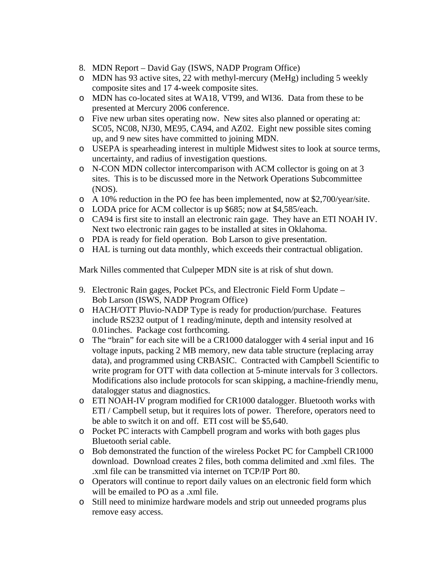- 8. MDN Report David Gay (ISWS, NADP Program Office)
- o MDN has 93 active sites, 22 with methyl-mercury (MeHg) including 5 weekly composite sites and 17 4-week composite sites.
- o MDN has co-located sites at WA18, VT99, and WI36. Data from these to be presented at Mercury 2006 conference.
- o Five new urban sites operating now. New sites also planned or operating at: SC05, NC08, NJ30, ME95, CA94, and AZ02. Eight new possible sites coming up, and 9 new sites have committed to joining MDN.
- o USEPA is spearheading interest in multiple Midwest sites to look at source terms, uncertainty, and radius of investigation questions.
- o N-CON MDN collector intercomparison with ACM collector is going on at 3 sites. This is to be discussed more in the Network Operations Subcommittee (NOS).
- o A 10% reduction in the PO fee has been implemented, now at \$2,700/year/site.
- o LODA price for ACM collector is up \$685; now at \$4,585/each.
- o CA94 is first site to install an electronic rain gage. They have an ETI NOAH IV. Next two electronic rain gages to be installed at sites in Oklahoma.
- o PDA is ready for field operation. Bob Larson to give presentation.
- o HAL is turning out data monthly, which exceeds their contractual obligation.

Mark Nilles commented that Culpeper MDN site is at risk of shut down.

- 9. Electronic Rain gages, Pocket PCs, and Electronic Field Form Update Bob Larson (ISWS, NADP Program Office)
- o HACH/OTT Pluvio-NADP Type is ready for production/purchase. Features include RS232 output of 1 reading/minute, depth and intensity resolved at 0.01inches. Package cost forthcoming.
- o The "brain" for each site will be a CR1000 datalogger with 4 serial input and 16 voltage inputs, packing 2 MB memory, new data table structure (replacing array data), and programmed using CRBASIC. Contracted with Campbell Scientific to write program for OTT with data collection at 5-minute intervals for 3 collectors. Modifications also include protocols for scan skipping, a machine-friendly menu, datalogger status and diagnostics.
- o ETI NOAH-IV program modified for CR1000 datalogger. Bluetooth works with ETI / Campbell setup, but it requires lots of power. Therefore, operators need to be able to switch it on and off. ETI cost will be \$5,640.
- o Pocket PC interacts with Campbell program and works with both gages plus Bluetooth serial cable.
- o Bob demonstrated the function of the wireless Pocket PC for Campbell CR1000 download. Download creates 2 files, both comma delimited and .xml files. The .xml file can be transmitted via internet on TCP/IP Port 80.
- o Operators will continue to report daily values on an electronic field form which will be emailed to PO as a .xml file.
- o Still need to minimize hardware models and strip out unneeded programs plus remove easy access.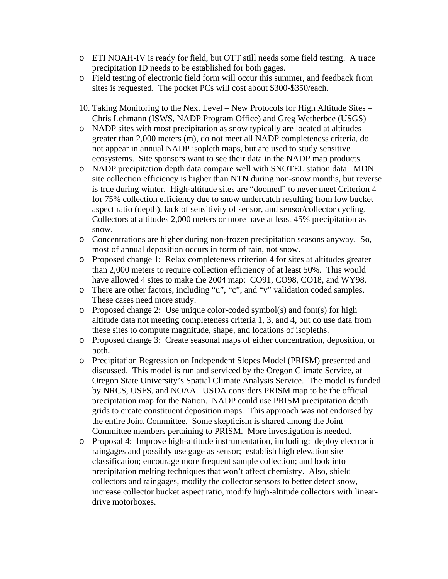- o ETI NOAH-IV is ready for field, but OTT still needs some field testing. A trace precipitation ID needs to be established for both gages.
- o Field testing of electronic field form will occur this summer, and feedback from sites is requested. The pocket PCs will cost about \$300-\$350/each.
- 10. Taking Monitoring to the Next Level New Protocols for High Altitude Sites Chris Lehmann (ISWS, NADP Program Office) and Greg Wetherbee (USGS)
- o NADP sites with most precipitation as snow typically are located at altitudes greater than 2,000 meters (m), do not meet all NADP completeness criteria, do not appear in annual NADP isopleth maps, but are used to study sensitive ecosystems. Site sponsors want to see their data in the NADP map products.
- o NADP precipitation depth data compare well with SNOTEL station data. MDN site collection efficiency is higher than NTN during non-snow months, but reverse is true during winter. High-altitude sites are "doomed" to never meet Criterion 4 for 75% collection efficiency due to snow undercatch resulting from low bucket aspect ratio (depth), lack of sensitivity of sensor, and sensor/collector cycling. Collectors at altitudes 2,000 meters or more have at least 45% precipitation as snow.
- o Concentrations are higher during non-frozen precipitation seasons anyway. So, most of annual deposition occurs in form of rain, not snow.
- o Proposed change 1: Relax completeness criterion 4 for sites at altitudes greater than 2,000 meters to require collection efficiency of at least 50%. This would have allowed 4 sites to make the 2004 map: CO91, CO98, CO18, and WY98.
- o There are other factors, including "u", "c", and "v" validation coded samples. These cases need more study.
- o Proposed change 2: Use unique color-coded symbol(s) and font(s) for high altitude data not meeting completeness criteria 1, 3, and 4, but do use data from these sites to compute magnitude, shape, and locations of isopleths.
- o Proposed change 3: Create seasonal maps of either concentration, deposition, or both.
- o Precipitation Regression on Independent Slopes Model (PRISM) presented and discussed. This model is run and serviced by the Oregon Climate Service, at Oregon State University's Spatial Climate Analysis Service. The model is funded by NRCS, USFS, and NOAA. USDA considers PRISM map to be the official precipitation map for the Nation. NADP could use PRISM precipitation depth grids to create constituent deposition maps. This approach was not endorsed by the entire Joint Committee. Some skepticism is shared among the Joint Committee members pertaining to PRISM. More investigation is needed.
- o Proposal 4: Improve high-altitude instrumentation, including: deploy electronic raingages and possibly use gage as sensor; establish high elevation site classification; encourage more frequent sample collection; and look into precipitation melting techniques that won't affect chemistry. Also, shield collectors and raingages, modify the collector sensors to better detect snow, increase collector bucket aspect ratio, modify high-altitude collectors with lineardrive motorboxes.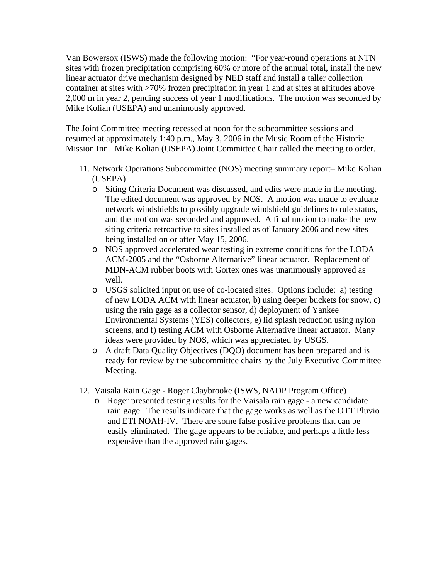Van Bowersox (ISWS) made the following motion: "For year-round operations at NTN sites with frozen precipitation comprising 60% or more of the annual total, install the new linear actuator drive mechanism designed by NED staff and install a taller collection container at sites with >70% frozen precipitation in year 1 and at sites at altitudes above 2,000 m in year 2, pending success of year 1 modifications. The motion was seconded by Mike Kolian (USEPA) and unanimously approved.

The Joint Committee meeting recessed at noon for the subcommittee sessions and resumed at approximately 1:40 p.m., May 3, 2006 in the Music Room of the Historic Mission Inn. Mike Kolian (USEPA) Joint Committee Chair called the meeting to order.

- 11. Network Operations Subcommittee (NOS) meeting summary report– Mike Kolian (USEPA)
	- o Siting Criteria Document was discussed, and edits were made in the meeting. The edited document was approved by NOS. A motion was made to evaluate network windshields to possibly upgrade windshield guidelines to rule status, and the motion was seconded and approved. A final motion to make the new siting criteria retroactive to sites installed as of January 2006 and new sites being installed on or after May 15, 2006.
	- o NOS approved accelerated wear testing in extreme conditions for the LODA ACM-2005 and the "Osborne Alternative" linear actuator. Replacement of MDN-ACM rubber boots with Gortex ones was unanimously approved as well.
	- o USGS solicited input on use of co-located sites. Options include: a) testing of new LODA ACM with linear actuator, b) using deeper buckets for snow, c) using the rain gage as a collector sensor, d) deployment of Yankee Environmental Systems (YES) collectors, e) lid splash reduction using nylon screens, and f) testing ACM with Osborne Alternative linear actuator. Many ideas were provided by NOS, which was appreciated by USGS.
	- o A draft Data Quality Objectives (DQO) document has been prepared and is ready for review by the subcommittee chairs by the July Executive Committee Meeting.
- 12. Vaisala Rain Gage Roger Claybrooke (ISWS, NADP Program Office)
	- o Roger presented testing results for the Vaisala rain gage a new candidate rain gage. The results indicate that the gage works as well as the OTT Pluvio and ETI NOAH-IV. There are some false positive problems that can be easily eliminated. The gage appears to be reliable, and perhaps a little less expensive than the approved rain gages.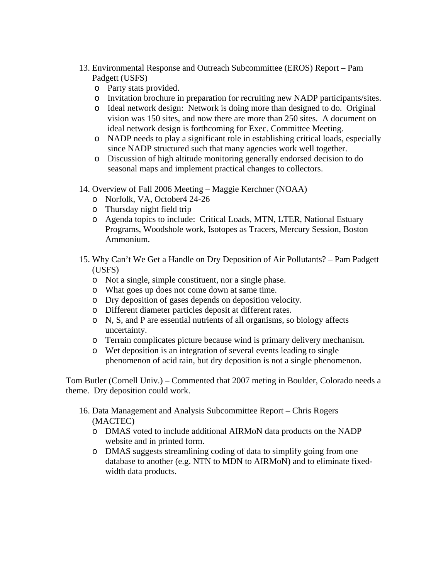- 13. Environmental Response and Outreach Subcommittee (EROS) Report Pam Padgett (USFS)
	- o Party stats provided.
	- o Invitation brochure in preparation for recruiting new NADP participants/sites.
	- o Ideal network design: Network is doing more than designed to do. Original vision was 150 sites, and now there are more than 250 sites. A document on ideal network design is forthcoming for Exec. Committee Meeting.
	- o NADP needs to play a significant role in establishing critical loads, especially since NADP structured such that many agencies work well together.
	- o Discussion of high altitude monitoring generally endorsed decision to do seasonal maps and implement practical changes to collectors.
- 14. Overview of Fall 2006 Meeting Maggie Kerchner (NOAA)
	- o Norfolk, VA, October4 24-26
	- o Thursday night field trip
	- o Agenda topics to include: Critical Loads, MTN, LTER, National Estuary Programs, Woodshole work, Isotopes as Tracers, Mercury Session, Boston Ammonium.
- 15. Why Can't We Get a Handle on Dry Deposition of Air Pollutants? Pam Padgett (USFS)
	- o Not a single, simple constituent, nor a single phase.
	- o What goes up does not come down at same time.
	- o Dry deposition of gases depends on deposition velocity.
	- o Different diameter particles deposit at different rates.
	- o N, S, and P are essential nutrients of all organisms, so biology affects uncertainty.
	- o Terrain complicates picture because wind is primary delivery mechanism.
	- o Wet deposition is an integration of several events leading to single phenomenon of acid rain, but dry deposition is not a single phenomenon.

Tom Butler (Cornell Univ.) – Commented that 2007 meting in Boulder, Colorado needs a theme. Dry deposition could work.

- 16. Data Management and Analysis Subcommittee Report Chris Rogers (MACTEC)
	- o DMAS voted to include additional AIRMoN data products on the NADP website and in printed form.
	- o DMAS suggests streamlining coding of data to simplify going from one database to another (e.g. NTN to MDN to AIRMoN) and to eliminate fixedwidth data products.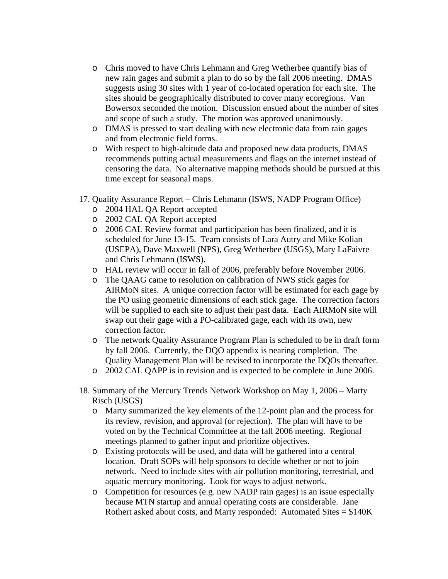- o Chris moved to have Chris Lehmann and Greg Wetherbee quantify bias of new rain gages and submit a plan to do so by the fall 2006 meeting. DMAS suggests using 30 sites with 1 year of co-located operation for each site. The sites should be geographically distributed to cover many ecoregions. Van Bowersox seconded the motion. Discussion ensued about the number of sites and scope of such a study. The motion was approved unanimously.
- o DMAS is pressed to start dealing with new electronic data from rain gages and from electronic field forms.
- o With respect to high-altitude data and proposed new data products, DMAS recommends putting actual measurements and flags on the internet instead of censoring the data. No alternative mapping methods should be pursued at this time except for seasonal maps.
- 17. Quality Assurance Report Chris Lehmann (ISWS, NADP Program Office)
	- o 2004 HAL QA Report accepted
	- o 2002 CAL QA Report accepted
	- o 2006 CAL Review format and participation has been finalized, and it is scheduled for June 13-15. Team consists of Lara Autry and Mike Kolian (USEPA), Dave Maxwell (NPS), Greg Wetherbee (USGS), Mary LaFaivre and Chris Lehmann (ISWS).
	- o HAL review will occur in fall of 2006, preferably before November 2006.
	- o The QAAG came to resolution on calibration of NWS stick gages for AIRMoN sites. A unique correction factor will be estimated for each gage by the PO using geometric dimensions of each stick gage. The correction factors will be supplied to each site to adjust their past data. Each AIRMoN site will swap out their gage with a PO-calibrated gage, each with its own, new correction factor.
	- o The network Quality Assurance Program Plan is scheduled to be in draft form by fall 2006. Currently, the DQO appendix is nearing completion. The Quality Management Plan will be revised to incorporate the DQOs thereafter.
	- o 2002 CAL QAPP is in revision and is expected to be complete in June 2006.
- 18. Summary of the Mercury Trends Network Workshop on May 1, 2006 Marty Risch (USGS)
	- o Marty summarized the key elements of the 12-point plan and the process for its review, revision, and approval (or rejection). The plan will have to be voted on by the Technical Committee at the fall 2006 meeting. Regional meetings planned to gather input and prioritize objectives.
	- o Existing protocols will be used, and data will be gathered into a central location. Draft SOPs will help sponsors to decide whether or not to join network. Need to include sites with air pollution monitoring, terrestrial, and aquatic mercury monitoring. Look for ways to adjust network.
	- o Competition for resources (e.g. new NADP rain gages) is an issue especially because MTN startup and annual operating costs are considerable. Jane Rothert asked about costs, and Marty responded: Automated Sites  $= $140K$